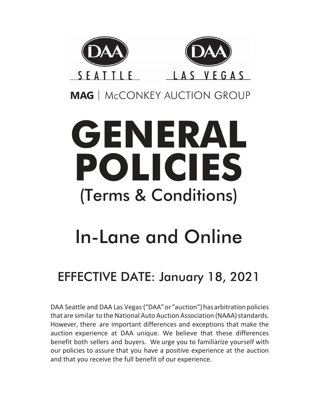

**MAG** | McCONKEY AUCTION GROUP

# **GENERAL POLICIES** (Terms & Conditions)

## In-Lane and Online

## EFFECTIVE DATE: January 18, 2021

DAA Seattle and DAA Las Vegas ("DAA" or "auction") has arbitration policies that are similar to the National Auto Auction Association (NAAA) standards. However, there are important differences and exceptions that make the auction experience at DAA unique. We believe that these differences benefit both sellers and buyers. We urge you to familiarize yourself with our policies to assure that you have a positive experience at the auction and that you receive the full benefit of our experience.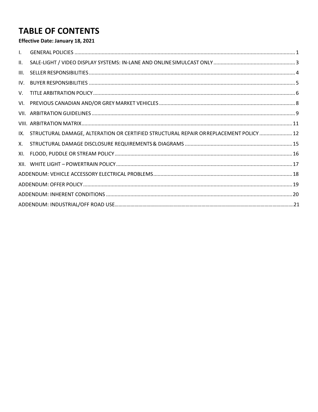## **TABLE OF CONTENTS**

## Effective Date: January 18, 2021

| $\mathsf{L}$ |                                                                                        |  |  |  |
|--------------|----------------------------------------------------------------------------------------|--|--|--|
| II.          |                                                                                        |  |  |  |
| III.         |                                                                                        |  |  |  |
| IV.          |                                                                                        |  |  |  |
| $V_{\cdot}$  |                                                                                        |  |  |  |
|              |                                                                                        |  |  |  |
|              |                                                                                        |  |  |  |
|              |                                                                                        |  |  |  |
| IX.          | STRUCTURAL DAMAGE, ALTERATION OR CERTIFIED STRUCTURAL REPAIR OR REPLACEMENT POLICY  12 |  |  |  |
| Х.           |                                                                                        |  |  |  |
| XI.          |                                                                                        |  |  |  |
|              |                                                                                        |  |  |  |
|              |                                                                                        |  |  |  |
|              |                                                                                        |  |  |  |
|              |                                                                                        |  |  |  |
|              |                                                                                        |  |  |  |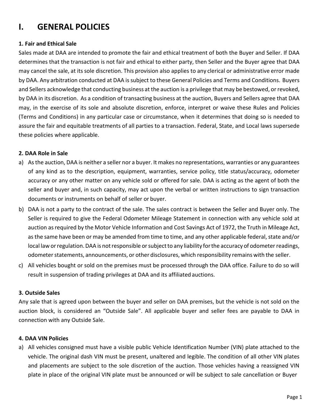## <span id="page-2-0"></span>**I. GENERAL POLICIES**

## **1. Fair and Ethical Sale**

Sales made at DAA are intended to promote the fair and ethical treatment of both the Buyer and Seller. If DAA determines that the transaction is not fair and ethical to either party, then Seller and the Buyer agree that DAA may cancel the sale, at itssole discretion. This provision also applies to any clerical or administrative error made by DAA. Any arbitration conducted at DAA is subject to these General Policies and Terms and Conditions. Buyers and Sellers acknowledge that conducting business at the auction is a privilege that may be bestowed, orrevoked, by DAA in its discretion. As a condition of transacting business at the auction, Buyers and Sellers agree that DAA may, in the exercise of its sole and absolute discretion, enforce, interpret or waive these Rules and Policies (Terms and Conditions) in any particular case or circumstance, when it determines that doing so is needed to assure the fair and equitable treatments of all parties to a transaction. Federal, State, and Local laws supersede these policies where applicable.

## **2. DAA Role in Sale**

- a) As the auction, DAA is neither a seller nor a buyer. It makes no representations, warranties or any guarantees of any kind as to the description, equipment, warranties, service policy, title status/accuracy, odometer accuracy or any other matter on any vehicle sold or offered for sale. DAA is acting as the agent of both the seller and buyer and, in such capacity, may act upon the verbal or written instructions to sign transaction documents or instruments on behalf of seller or buyer.
- b) DAA is not a party to the contract of the sale. The sales contract is between the Seller and Buyer only. The Seller is required to give the Federal Odometer Mileage Statement in connection with any vehicle sold at auction as required by the Motor Vehicle Information and Cost Savings Act of 1972, the Truth in Mileage Act, as the same have been or may be amended from time to time, and any other applicable federal, state and/or local law or regulation. DAA is not responsible or subject to any liability for the accuracy of odometer readings, odometer statements, announcements, or other disclosures, which responsibility remains with the seller.
- c) All vehicles bought or sold on the premises must be processed through the DAA office. Failure to do so will result in suspension of trading privileges at DAA and its affiliated auctions.

## **3. Outside Sales**

Any sale that is agreed upon between the buyer and seller on DAA premises, but the vehicle is not sold on the auction block, is considered an "Outside Sale". All applicable buyer and seller fees are payable to DAA in connection with any Outside Sale.

#### **4. DAA VIN Policies**

a) All vehicles consigned must have a visible public Vehicle Identification Number (VIN) plate attached to the vehicle. The original dash VIN must be present, unaltered and legible. The condition of all other VIN plates and placements are subject to the sole discretion of the auction. Those vehicles having a reassigned VIN plate in place of the original VIN plate must be announced or will be subject to sale cancellation or Buyer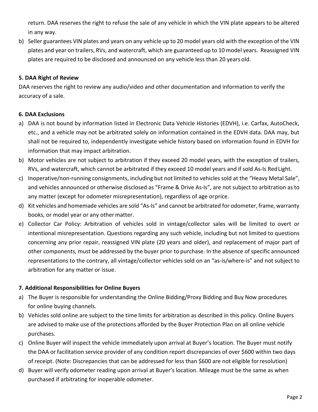return. DAA reserves the right to refuse the sale of any vehicle in which the VIN plate appears to be altered in any way.

b) Seller guarantees VIN plates and years on any vehicle up to 20 model years old with the exception of the VIN plates and year on trailers, RVs, and watercraft, which are guaranteed up to 10 model years. Reassigned VIN plates are required to be disclosed and announced on any vehicle less than 20 years old.

## **5. DAA Right of Review**

DAA reserves the right to review any audio/video and other documentation and information to verify the accuracy of a sale.

## **6. DAA Exclusions**

- a) DAA is not bound by information listed in Electronic Data Vehicle Histories (EDVH), i.e. Carfax, AutoCheck, etc., and a vehicle may not be arbitrated solely on information contained in the EDVH data. DAA may, but shall not be required to, independently investigate vehicle history based on information found in EDVH for information that may impact arbitration.
- b) Motor vehicles are not subject to arbitration if they exceed 20 model years, with the exception of trailers, RVs, and watercraft, which cannot be arbitrated if they exceed 10 model years and if sold As-Is Red Light.
- c) Inoperative/non-running consignments, including but not limited to vehicles sold at the "Heavy Metal Sale", and vehicles announced or otherwise disclosed as "Frame & Drive As-Is", are not subject to arbitration as to any matter (except for odometer misrepresentation), regardless of age orprice.
- d) Kit vehicles and homemade vehicles are sold "As-Is" and cannot be arbitrated for odometer, frame, warranty books, or model year or any othermatter.
- e) Collector Car Policy: Arbitration of vehicles sold in vintage/collector sales will be limited to overt or intentional misrepresentation. Questions regarding any such vehicle, including but not limited to questions concerning any prior repair, reassigned VIN plate (20 years and older), and replacement of major part of other components, must be addressed by the buyer prior to purchase. In the absence of specific announced representations to the contrary, all vintage/collector vehicles sold on an "as-is/where-is" and not subject to arbitration for any matter or issue.

## **7. Additional Responsibilities for Online Buyers**

- a) The Buyer is responsible for understanding the Online Bidding/Proxy Bidding and Buy Now procedures for online buying channels.
- b) Vehicles sold online are subject to the time limits for arbitration as described in this policy. Online Buyers are advised to make use of the protections afforded by the Buyer Protection Plan on all online vehicle purchases.
- c) Online Buyer will inspect the vehicle immediately upon arrival at Buyer's location. The Buyer must notify the DAA or facilitation service provider of any condition report discrepancies of over \$600 within two days of receipt. (Note: Discrepancies that can be addressed for less than \$600 are not eligible forresolution)
- d) Buyer will verify odometer reading upon arrival at Buyer's location. Mileage must be the same as when purchased if arbitrating for inoperable odometer.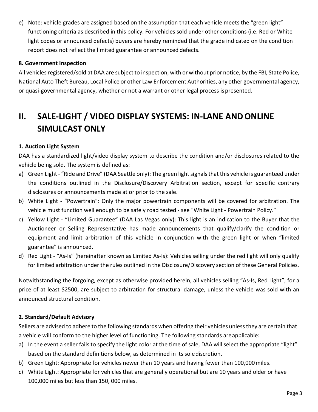e) Note: vehicle grades are assigned based on the assumption that each vehicle meets the "green light" functioning criteria as described in this policy. For vehicles sold under other conditions (i.e. Red or White light codes or announced defects) buyers are hereby reminded that the grade indicated on the condition report does not reflect the limited guarantee or announced defects.

## **8. Government Inspection**

All vehicles registered/sold at DAA are subject to inspection, with or without prior notice, by the FBI, State Police, National Auto Theft Bureau, Local Police or other Law Enforcement Authorities, any other governmental agency, or quasi-governmental agency, whether or not a warrant or other legal process ispresented.

## <span id="page-4-0"></span>**II. SALE-LIGHT / VIDEO DISPLAY SYSTEMS: IN-LANE ANDONLINE SIMULCAST ONLY**

## **1. Auction Light System**

DAA has a standardized light/video display system to describe the condition and/or disclosures related to the vehicle being sold. The system is defined as:

- a) Green Light "Ride and Drive" (DAA Seattle only): The green light signals that this vehicle is guaranteed under the conditions outlined in the Disclosure/Discovery Arbitration section, except for specific contrary disclosures or announcements made at or prior to the sale.
- b) White Light "Powertrain": Only the major powertrain components will be covered for arbitration. The vehicle must function well enough to be safely road tested - see "White Light - Powertrain Policy."
- c) Yellow Light "Limited Guarantee" (DAA Las Vegas only): This light is an indication to the Buyer that the Auctioneer or Selling Representative has made announcements that qualify/clarify the condition or equipment and limit arbitration of this vehicle in conjunction with the green light or when "limited guarantee" is announced.
- d) Red Light "As-Is" (hereinafter known as Limited As-Is): Vehicles selling under the red light will only qualify for limited arbitration under the rules outlined in the Disclosure/Discovery section of these General Policies.

Notwithstanding the forgoing, except as otherwise provided herein, all vehicles selling "As-Is, Red Light", for a price of at least \$2500, are subject to arbitration for structural damage, unless the vehicle was sold with an announced structural condition.

#### **2. Standard/Default Advisory**

Sellers are advised to adhere to the following standards when offering their vehicles unless they are certain that a vehicle will conform to the higher level of functioning. The following standards areapplicable:

- a) In the event a seller fails to specify the light color at the time of sale, DAA will select the appropriate "light" based on the standard definitions below, as determined in its solediscretion.
- b) Green Light: Appropriate for vehicles newer than 10 years and having fewer than 100,000miles.
- c) White Light: Appropriate for vehicles that are generally operational but are 10 years and older or have 100,000 miles but less than 150, 000 miles.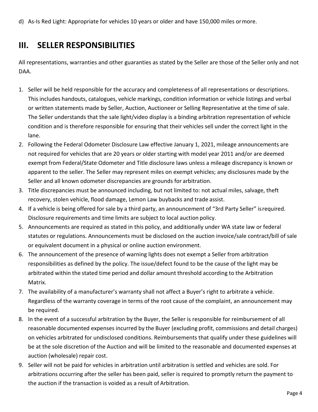d) As-Is Red Light: Appropriate for vehicles 10 years or older and have 150,000 miles ormore.

## **III. SELLER RESPONSIBILITIES**

All representations, warranties and other guaranties as stated by the Seller are those of the Seller only and not DAA.

- 1. Seller will be held responsible for the accuracy and completeness of all representations or descriptions. This includes handouts, catalogues, vehicle markings, condition information or vehicle listings and verbal or written statements made by Seller, Auction, Auctioneer or Selling Representative at the time of sale. The Seller understands that the sale light/video display is a binding arbitration representation of vehicle condition and is therefore responsible for ensuring that their vehicles sell under the correct light in the lane.
- 2. Following the Federal Odometer Disclosure Law effective January 1, 2021, mileage announcements are not required for vehicles that are 20 years or older starting with model year 2011 and/or are deemed exempt from Federal/State Odometer and Title disclosure laws unless a mileage discrepancy is known or apparent to the seller. The Seller may represent miles on exempt vehicles; any disclosures made by the Seller and all known odometer discrepancies are grounds for arbitration.
- 3. Title discrepancies must be announced including, but not limited to: not actual miles, salvage, theft recovery, stolen vehicle, flood damage, Lemon Law buybacks and trade assist.
- 4. If a vehicle is being offered for sale by a third party, an announcement of "3rd Party Seller" isrequired. Disclosure requirements and time limits are subject to local auction policy.
- 5. Announcements are required as stated in this policy, and additionally under WA state law or federal statutes or regulations. Announcements must be disclosed on the auction invoice/sale contract/bill of sale or equivalent document in a physical or online auction environment.
- 6. The announcement of the presence of warning lights does not exempt a Seller from arbitration responsibilities as defined by the policy. The issue/defect found to be the cause of the light may be arbitrated within the stated time period and dollar amount threshold according to the Arbitration Matrix.
- 7. The availability of a manufacturer's warranty shall not affect a Buyer's right to arbitrate a vehicle. Regardless of the warranty coverage in terms of the root cause of the complaint, an announcement may be required.
- 8. In the event of a successful arbitration by the Buyer, the Seller is responsible for reimbursement of all reasonable documented expenses incurred by the Buyer (excluding profit, commissions and detail charges) on vehicles arbitrated for undisclosed conditions. Reimbursements that qualify under these guidelines will be at the sole discretion of the Auction and will be limited to the reasonable and documented expenses at auction (wholesale) repair cost.
- 9. Seller will not be paid for vehicles in arbitration until arbitration is settled and vehicles are sold. For arbitrations occurring after the seller has been paid, seller is required to promptly return the payment to the auction if the transaction is voided as a result of Arbitration.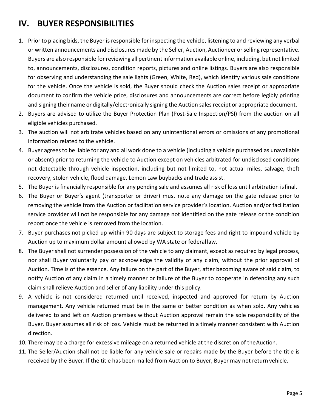## **IV. BUYER RESPONSIBILITIES**

- 1. Prior to placing bids, the Buyer isresponsible for inspecting the vehicle, listening to and reviewing any verbal or written announcements and disclosures made by the Seller, Auction, Auctioneer orselling representative. Buyers are also responsible for reviewing all pertinent information available online, including, but not limited to, announcements, disclosures, condition reports, pictures and online listings. Buyers are also responsible for observing and understanding the sale lights (Green, White, Red), which identify various sale conditions for the vehicle. Once the vehicle is sold, the Buyer should check the Auction sales receipt or appropriate document to confirm the vehicle price, disclosures and announcements are correct before legibly printing and signing their name or digitally/electronically signing the Auction sales receipt or appropriate document.
- 2. Buyers are advised to utilize the Buyer Protection Plan (Post-Sale Inspection/PSI) from the auction on all eligible vehicles purchased.
- 3. The auction will not arbitrate vehicles based on any unintentional errors or omissions of any promotional information related to the vehicle.
- 4. Buyer agrees to be liable for any and all work done to a vehicle (including a vehicle purchased as unavailable or absent) prior to returning the vehicle to Auction except on vehicles arbitrated for undisclosed conditions not detectable through vehicle inspection, including but not limited to, not actual miles, salvage, theft recovery, stolen vehicle, flood damage, Lemon Law buybacks and trade assist.
- 5. The Buyer is financially responsible for any pending sale and assumes all risk of loss until arbitration isfinal.
- 6. The Buyer or Buyer's agent (transporter or driver) must note any damage on the gate release prior to removing the vehicle from the Auction or facilitation service provider's location. Auction and/or facilitation service provider will not be responsible for any damage not identified on the gate release or the condition report once the vehicle is removed from the location.
- 7. Buyer purchases not picked up within 90 days are subject to storage fees and right to impound vehicle by Auction up to maximum dollar amount allowed by WA state or federal law.
- 8. The Buyer shall not surrender possession of the vehicle to any claimant, except as required by legal process, nor shall Buyer voluntarily pay or acknowledge the validity of any claim, without the prior approval of Auction. Time is of the essence. Any failure on the part of the Buyer, after becoming aware of said claim, to notify Auction of any claim in a timely manner or failure of the Buyer to cooperate in defending any such claim shall relieve Auction and seller of any liability under this policy.
- 9. A vehicle is not considered returned until received, inspected and approved for return by Auction management. Any vehicle returned must be in the same or better condition as when sold. Any vehicles delivered to and left on Auction premises without Auction approval remain the sole responsibility of the Buyer. Buyer assumes all risk of loss. Vehicle must be returned in a timely manner consistent with Auction direction.
- 10. There may be a charge for excessive mileage on a returned vehicle at the discretion of theAuction.
- 11. The Seller/Auction shall not be liable for any vehicle sale or repairs made by the Buyer before the title is received by the Buyer. If the title has been mailed from Auction to Buyer, Buyer may not return vehicle.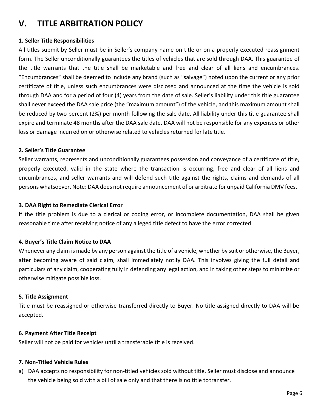## <span id="page-7-0"></span>**V. TITLE ARBITRATION POLICY**

## **1. Seller Title Responsibilities**

All titles submit by Seller must be in Seller's company name on title or on a properly executed reassignment form. The Seller unconditionally guarantees the titles of vehicles that are sold through DAA. This guarantee of the title warrants that the title shall be marketable and free and clear of all liens and encumbrances. "Encumbrances" shall be deemed to include any brand (such as "salvage") noted upon the current or any prior certificate of title, unless such encumbrances were disclosed and announced at the time the vehicle is sold through DAA and for a period of four (4) years from the date of sale. Seller's liability under this title guarantee shall never exceed the DAA sale price (the "maximum amount") of the vehicle, and this maximum amount shall be reduced by two percent (2%) per month following the sale date. All liability under this title guarantee shall expire and terminate 48 months after the DAA sale date. DAA will not be responsible for any expenses or other loss or damage incurred on or otherwise related to vehicles returned for late title.

## **2. Seller's Title Guarantee**

Seller warrants, represents and unconditionally guarantees possession and conveyance of a certificate of title, properly executed, valid in the state where the transaction is occurring, free and clear of all liens and encumbrances, and seller warrants and will defend such title against the rights, claims and demands of all persons whatsoever. Note: DAA does not require announcement of or arbitrate for unpaid California DMV fees.

#### **3. DAA Right to Remediate Clerical Error**

If the title problem is due to a clerical or coding error, or incomplete documentation, DAA shall be given reasonable time after receiving notice of any alleged title defect to have the error corrected.

#### **4. Buyer's Title Claim Notice to DAA**

Whenever any claim is made by any person against the title of a vehicle, whether by suit or otherwise, the Buyer, after becoming aware of said claim, shall immediately notify DAA. This involves giving the full detail and particulars of any claim, cooperating fully in defending any legal action, and in taking other steps to minimize or otherwise mitigate possible loss.

#### **5. Title Assignment**

Title must be reassigned or otherwise transferred directly to Buyer. No title assigned directly to DAA will be accepted.

#### **6. Payment After Title Receipt**

Seller will not be paid for vehicles until a transferable title is received.

#### **7. Non-Titled Vehicle Rules**

a) DAA accepts no responsibility for non-titled vehicles sold without title. Seller must disclose and announce the vehicle being sold with a bill of sale only and that there is no title totransfer.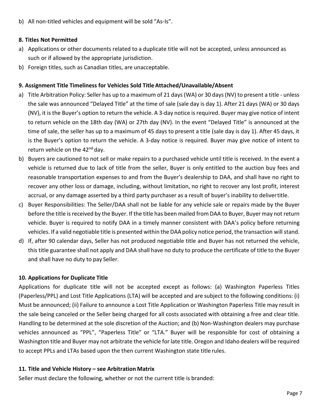b) All non-titled vehicles and equipment will be sold "As-Is".

## **8. Titles Not Permitted**

- a) Applications or other documents related to a duplicate title will not be accepted, unless announced as such or if allowed by the appropriate jurisdiction.
- b) Foreign titles, such as Canadian titles, are unacceptable.

## **9. Assignment Title Timeliness for Vehicles Sold Title Attached/Unavailable/Absent**

- a) Title Arbitration Policy: Seller has up to a maximum of 21 days (WA) or 30 days (NV) to present a title unless the sale was announced "Delayed Title" at the time of sale (sale day is day 1). After 21 days (WA) or 30 days (NV), it is the Buyer's option to return the vehicle. A 3-day notice is required. Buyer may give notice of intent to return vehicle on the 18th day (WA) or 27th day (NV). In the event "Delayed Title" is announced at the time of sale, the seller has up to a maximum of 45 days to present a title (sale day is day 1). After 45 days, it is the Buyer's option to return the vehicle. A 3-day notice is required. Buyer may give notice of intent to return vehicle on the 42<sup>nd</sup> day.
- b) Buyers are cautioned to not sell or make repairs to a purchased vehicle until title is received. In the event a vehicle is returned due to lack of title from the seller, Buyer is only entitled to the auction buy fees and reasonable transportation expenses to and from the Buyer's dealership to DAA, and shall have no right to recover any other loss or damage, including, without limitation, no right to recover any lost profit, interest accrual, or any damage asserted by a third party purchaser as a result of buyer's inability to delivertitle.
- c) Buyer Responsibilities: The Seller/DAA shall not be liable for any vehicle sale or repairs made by the Buyer before the title is received by the Buyer. If the title has been mailed from DAA to Buyer, Buyer may not return vehicle. Buyer is required to notify DAA in a timely manner consistent with DAA's policy before returning vehicles. If a valid negotiable title is presented within the DAApolicy notice period, the transaction will stand.
- d) If, after 90 calendar days, Seller has not produced negotiable title and Buyer has not returned the vehicle, this title guarantee shall not apply and DAA shall have no duty to produce the certificate of title to the Buyer and shall have no duty to pay Seller.

## **10. Applications for Duplicate Title**

Applications for duplicate title will not be accepted except as follows: (a) Washington Paperless Titles (Paperless/PPL) and Lost Title Applications (LTA) will be accepted and are subject to the following conditions: (i) Must be announced; (ii) Failure to announce a Lost Title Application or Washington Paperless Title may result in the sale being canceled or the Seller being charged for all costs associated with obtaining a free and clear title. Handling to be determined at the sole discretion of the Auction; and (b) Non-Washington dealers may purchase vehicles announced as "PPL", "Paperless Title" or "LTA." Buyer will be responsible for cost of obtaining a Washington title and Buyer may not arbitrate the vehicle forlate title. Oregon and Idaho dealers will be required to accept PPLs and LTAs based upon the then current Washington state title rules.

## **11. Title and Vehicle History – see Arbitration Matrix**

Seller must declare the following, whether or not the current title is branded: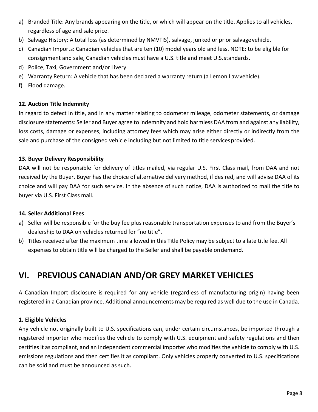- a) Branded Title: Any brands appearing on the title, or which will appear on the title. Applies to all vehicles, regardless of age and sale price.
- b) Salvage History: A total loss (as determined by NMVTIS), salvage, junked or prior salvagevehicle.
- c) Canadian Imports: Canadian vehicles that are ten (10) model years old and less. NOTE: to be eligible for consignment and sale, Canadian vehicles must have a U.S. title and meet U.S.standards.
- d) Police, Taxi, Government and/or Livery.
- e) Warranty Return: A vehicle that has been declared a warranty return (a Lemon Lawvehicle).
- f) Flood damage.

## **12. Auction Title Indemnity**

In regard to defect in title, and in any matter relating to odometer mileage, odometer statements, or damage disclosure statements: Seller and Buyer agree to indemnify and hold harmless DAA from and against any liability, loss costs, damage or expenses, including attorney fees which may arise either directly or indirectly from the sale and purchase of the consigned vehicle including but not limited to title servicesprovided.

## **13. Buyer Delivery Responsibility**

DAA will not be responsible for delivery of titles mailed, via regular U.S. First Class mail, from DAA and not received by the Buyer. Buyer has the choice of alternative delivery method, if desired, and will advise DAA of its choice and will pay DAA for such service. In the absence of such notice, DAA is authorized to mail the title to buyer via U.S. First Class mail.

## **14. Seller Additional Fees**

- a) Seller will be responsible for the buy fee plus reasonable transportation expenses to and from the Buyer's dealership to DAA on vehicles returned for "no title".
- b) Titles received after the maximum time allowed in this Title Policy may be subject to a late title fee. All expenses to obtain title will be charged to the Seller and shall be payable ondemand.

## <span id="page-9-0"></span>**VI. PREVIOUS CANADIAN AND/OR GREY MARKET VEHICLES**

A Canadian Import disclosure is required for any vehicle (regardless of manufacturing origin) having been registered in a Canadian province. Additional announcements may be required as well due to the use in Canada.

## **1. Eligible Vehicles**

Any vehicle not originally built to U.S. specifications can, under certain circumstances, be imported through a registered importer who modifies the vehicle to comply with U.S. equipment and safety regulations and then certifies it as compliant, and an independent commercial importer who modifies the vehicle to comply with U.S. emissions regulations and then certifies it as compliant. Only vehicles properly converted to U.S. specifications can be sold and must be announced as such.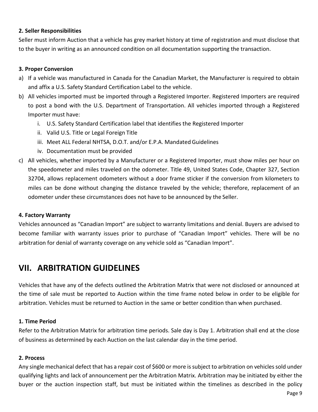## **2. Seller Responsibilities**

Seller must inform Auction that a vehicle has grey market history at time of registration and must disclose that to the buyer in writing as an announced condition on all documentation supporting the transaction.

## **3. Proper Conversion**

- a) If a vehicle was manufactured in Canada for the Canadian Market, the Manufacturer is required to obtain and affix a U.S. Safety Standard Certification Label to the vehicle.
- b) All vehicles imported must be imported through a Registered Importer. Registered Importers are required to post a bond with the U.S. Department of Transportation. All vehicles imported through a Registered Importer must have:
	- i. U.S. Safety Standard Certification label that identifies the Registered Importer
	- ii. Valid U.S. Title or Legal Foreign Title
	- iii. Meet ALL Federal NHTSA, D.O.T. and/or E.P.A. Mandated Guidelines
	- iv. Documentation must be provided
- c) All vehicles, whether imported by a Manufacturer or a Registered Importer, must show miles per hour on the speedometer and miles traveled on the odometer. Title 49, United States Code, Chapter 327, Section 32704, allows replacement odometers without a door frame sticker if the conversion from kilometers to miles can be done without changing the distance traveled by the vehicle; therefore, replacement of an odometer under these circumstances does not have to be announced by the Seller.

#### **4. Factory Warranty**

Vehicles announced as "Canadian Import" are subject to warranty limitations and denial. Buyers are advised to become familiar with warranty issues prior to purchase of "Canadian Import" vehicles. There will be no arbitration for denial of warranty coverage on any vehicle sold as "Canadian Import".

## <span id="page-10-0"></span>**VII. ARBITRATION GUIDELINES**

Vehicles that have any of the defects outlined the Arbitration Matrix that were not disclosed or announced at the time of sale must be reported to Auction within the time frame noted below in order to be eligible for arbitration. Vehicles must be returned to Auction in the same or better condition than when purchased.

## **1. Time Period**

Refer to the Arbitration Matrix for arbitration time periods. Sale day is Day 1. Arbitration shall end at the close of business as determined by each Auction on the last calendar day in the time period.

#### **2. Process**

Any single mechanical defect that has a repair cost of \$600 or more is subject to arbitration on vehicles sold under qualifying lights and lack of announcement per the Arbitration Matrix. Arbitration may be initiated by either the buyer or the auction inspection staff, but must be initiated within the timelines as described in the policy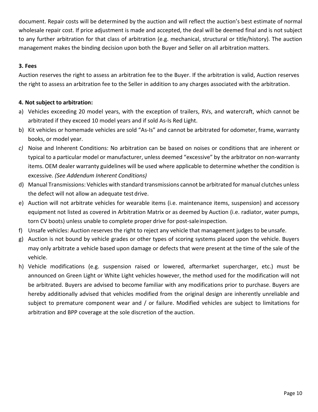document. Repair costs will be determined by the auction and will reflect the auction's best estimate of normal wholesale repair cost. If price adjustment is made and accepted, the deal will be deemed final and is not subject to any further arbitration for that class of arbitration (e.g. mechanical, structural or title/history). The auction management makes the binding decision upon both the Buyer and Seller on all arbitration matters.

## **3. Fees**

Auction reserves the right to assess an arbitration fee to the Buyer. If the arbitration is valid, Auction reserves the right to assess an arbitration fee to the Seller in addition to any charges associated with the arbitration.

## **4. Not subject to arbitration:**

- a) Vehicles exceeding 20 model years, with the exception of trailers, RVs, and watercraft, which cannot be arbitrated if they exceed 10 model years and if sold As-Is Red Light.
- b) Kit vehicles or homemade vehicles are sold "As-Is" and cannot be arbitrated for odometer, frame, warranty books, or model year.
- *c)* Noise and Inherent Conditions: No arbitration can be based on noises or conditions that are inherent or typical to a particular model or manufacturer, unless deemed "excessive" by the arbitrator on non-warranty items. OEM dealer warranty guidelines will be used where applicable to determine whether the condition is excessive. *(See Addendum Inherent Conditions)*
- d) Manual Transmissions: Vehicles with standard transmissions cannot be arbitrated for manual clutches unless the defect will not allow an adequate test drive.
- e) Auction will not arbitrate vehicles for wearable items (i.e. maintenance items, suspension) and accessory equipment not listed as covered in Arbitration Matrix or as deemed by Auction (i.e. radiator, water pumps, torn CV boots) unless unable to complete proper drive for post-saleinspection.
- f) Unsafe vehicles: Auction reserves the right to reject any vehicle that management judges to be unsafe.
- g) Auction is not bound by vehicle grades or other types of scoring systems placed upon the vehicle. Buyers may only arbitrate a vehicle based upon damage or defects that were present at the time of the sale of the vehicle.
- h) Vehicle modifications (e.g. suspension raised or lowered, aftermarket supercharger, etc.) must be announced on Green Light or White Light vehicles however, the method used for the modification will not be arbitrated. Buyers are advised to become familiar with any modifications prior to purchase. Buyers are hereby additionally advised that vehicles modified from the original design are inherently unreliable and subject to premature component wear and / or failure. Modified vehicles are subject to limitations for arbitration and BPP coverage at the sole discretion of the auction.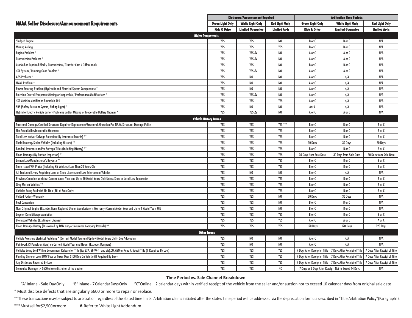|                                                                                                                                           | <b>Disclosure/Announcement Required</b> |                          |                       | <b>Arbitration Time Periods</b>                               |                                                       |                               |
|-------------------------------------------------------------------------------------------------------------------------------------------|-----------------------------------------|--------------------------|-----------------------|---------------------------------------------------------------|-------------------------------------------------------|-------------------------------|
| <b>NAAA Seller Disclosure/Announcement Requirements</b>                                                                                   | <b>Green Light Only</b>                 | <b>White Light Only</b>  | <b>Red Light Only</b> | <b>Green Light Only</b>                                       | <b>White Light Only</b>                               | <b>Red Light Only</b>         |
|                                                                                                                                           | <b>Ride &amp; Drive</b>                 | <b>Limited Guarantee</b> | <b>Limited As-Is</b>  | <b>Ride &amp; Drive</b>                                       | <b>Limited Guarantee</b>                              | <b>Limited As-Is</b>          |
| <b>Major Components</b>                                                                                                                   |                                         |                          |                       |                                                               |                                                       |                               |
| <b>Sludged Engine</b>                                                                                                                     | YES                                     | YES                      | N <sub>0</sub>        | B or C                                                        | B or C                                                | N/A                           |
| <b>Missing Airbag</b>                                                                                                                     | YES                                     | YES                      | YES                   | B or C                                                        | B or C                                                | N/A                           |
| Engine Problem <sup>*</sup>                                                                                                               | YES                                     | YES A                    | N <sub>0</sub>        | A or C                                                        | A or C                                                | N/A                           |
| <b>Transmission Problem</b>                                                                                                               | YES                                     | YES A                    | N <sub>0</sub>        | A or C                                                        | A or C                                                | N/A                           |
| Cracked or Repaired Block / Transmission / Transfer Case / Differentials                                                                  | YES                                     | YES                      | N <sub>0</sub>        | B or C                                                        | B or C                                                | N/A                           |
| 4X4 System / Running Gear Problem *                                                                                                       | YES                                     | YES A                    | N <sub>0</sub>        | A or C                                                        | A or C                                                | N/A                           |
| ABS Problem*                                                                                                                              | YES                                     | NO                       | N <sub>0</sub>        | A or C                                                        | N/A                                                   | N/A                           |
| <b>HVAC Problem</b>                                                                                                                       | YES                                     | NO                       | N <sub>0</sub>        | A or C                                                        | N/A                                                   | N/A                           |
| Power Steering Problem (Hydraulic and Electrical System Components)                                                                       | YES                                     | N <sub>0</sub>           | N <sub>0</sub>        | A or C                                                        | N/A                                                   | N/A                           |
| Emission Control Equipment Missing or Inoperable / Performance Modifications *                                                            | YES                                     | YES A                    | N <sub>0</sub>        | A or C                                                        | N/A                                                   | N/A                           |
| 4X2 Vehicles Modified to Resemble 4X4                                                                                                     | YES                                     | YES                      | YES                   | A or C                                                        | N/A                                                   | N/A                           |
| SRS (Safety Restraint System, Airbag Light)                                                                                               | YES                                     | NO                       | N <sub>0</sub>        | Aor C                                                         | N/A                                                   | N/A                           |
| Hybrid or Electric Vehicle Battery Problems and/or Missing or Inoperable Battery Charger *                                                | YES                                     | YES A                    | N <sub>0</sub>        | A or C                                                        | A or C                                                | N/A                           |
| <b>Vehicle History Issues</b>                                                                                                             |                                         |                          |                       |                                                               |                                                       |                               |
| Structural Damage/Certified Structural Repair or Replacement/Structural Alteration Per NAAA Structural Damage Policy                      | YES                                     | YES                      | YES ***               | B or C                                                        | B or C                                                | B or C                        |
| Not Actual Miles/Inoperable Odometer                                                                                                      | YES                                     | YES                      | YES                   | B or C                                                        | B or C                                                | B or C                        |
| Total Loss and/or Salvage Retention (By Insurance Records) **                                                                             | YES                                     | YES                      | YES                   | B or C                                                        | B or C                                                | B or C                        |
| Theft Recovery/Stolen Vehicles (Including History) **                                                                                     | YES                                     | YES                      | YES                   | 30 Days                                                       | 30 Days                                               | 30 Days                       |
| Bonded, Insurance and/or Salvage Titles (Including History) **                                                                            | YES                                     | YES                      | YES                   | B or C                                                        | B or C                                                | B or C                        |
| Flood Damage (By Auction Inspection) **                                                                                                   | YES                                     | YES                      | YES                   | 30 Days from Sale Date                                        | 30 Days from Sale Date                                | 30 Days from Sale Date        |
| Lemon Law/Manufacturer's Buvback **                                                                                                       | YES                                     | YES                      | YES                   | B or C                                                        | B or C                                                | B or C                        |
| State-Issued VIN Plates (Including Kit Vehicles) Less Than 20 Years Old                                                                   | YES                                     | YES                      | YES                   | B or C                                                        | B or C                                                | B or C                        |
| All Taxis and Livery Requiring Local or State Licenses and Law Enforcement Vehicles                                                       | YES                                     | NO                       | N <sub>0</sub>        | B or C                                                        | N/A                                                   | N/A                           |
| Previous Canadian Vehicles (Current Model Year and Up to 10 Model Years Old) Unless State or Local Law Supersedes                         | YES                                     | YES                      | YES                   | B or C                                                        | B or C                                                | B or C                        |
| Grey Market Vehicles **                                                                                                                   | YES                                     | YES                      | YES                   | B or C                                                        | B or C                                                | B or C                        |
| Vehicles Being Sold with No Title (Bill of Sale Only)                                                                                     | YES                                     | YES                      | YES                   | B or C                                                        | B or C                                                | B or C                        |
| <b>Voided Factory Warranty</b>                                                                                                            | YES                                     | YES                      | N <sub>0</sub>        | 30 Days                                                       | 30 Days                                               | N/A                           |
| <b>Fuel Conversion</b>                                                                                                                    | YES                                     | YES                      | N <sub>0</sub>        | B or C                                                        | B or C                                                | N/A                           |
| Non-Original Engine (Excludes Items Replaced Under Manufacturer's Warranty) Current Model Year and Up to 4 Model Years Old                | YES                                     | YES                      | N <sub>0</sub>        | B or C                                                        | B or C                                                | N/A                           |
| Logo or Decal Misrepresentation                                                                                                           | YES                                     | YES                      | YES                   | B or C                                                        | B or C                                                | B or C                        |
| <b>Biohazard Vehicles (Existina or Cleaned)</b>                                                                                           | YES                                     | YES                      | YES                   | A or C                                                        | A or C                                                | A or C                        |
| Flood Damage History (Discovered by DMV and/or Insurance Company Records) **                                                              | YES                                     | YES                      | YES                   | 120 Days                                                      | 120 Days                                              | 120 Days                      |
| <b>Other Issues</b>                                                                                                                       |                                         |                          |                       |                                                               |                                                       |                               |
| Vehicle Accessory Electrical Problems * (Current Model Year and Up to 4 Model Years Old) - See Addendum                                   | YES                                     | NO                       | N <sub>0</sub>        | A or C                                                        | N/A                                                   | N/A                           |
| Paintwork (3 Panels or More) on Current Model Year and Newer (Excludes Bumpers)                                                           | YES                                     | NO                       | N <sub>0</sub>        | A or C                                                        | N/A                                                   | N/A                           |
| Vehicles Being Sold With a Government Release for Title (ie: 27A, SF-97-1, and etc), CO, MSO or Repo Affidavit Title (If Required By Law) | YES                                     | YES                      | YES                   | 7 Days After Receipt of Title                                 | 7 Days After Receipt of Title                         | 7 Days After Receipt of Title |
| Pending State or Local DMV Fees or Taxes Over \$100 Due On Vehicle (If Required By Law)                                                   | YES                                     | YES                      | YES                   | 7 Days After Receipt of Title                                 | 7 Days After Receipt of Title                         | 7 Days After Receipt of Title |
| Any Disclosure Required By Law                                                                                                            | YES                                     | YES                      | YES                   | 7 Days After Receipt of Title   7 Days After Receipt of Title |                                                       | 7 Days After Receipt of Title |
| Concealed Damage $>$ \$600 at sole discretion of the auction                                                                              | YES                                     | YES                      | N <sub>0</sub>        |                                                               | 7 Days or 2 Days After Receipt; Not to Exceed 14 Days | N/A                           |

#### **Time Period vs. Sale Channel Breakdown**

"A"Inlane - Sale DayOnly "B"Inlane - 7 Calendar DaysOnly "C" Online - 2 calendar days within verified receipt of the vehicle from the seller and/or auction not to exceed 10 calendar days from original sale date

\* Must disclose defects that are singularly \$600 or more to repair or replace.

\*\* These transactions may be subject to arbitration regardless of the stated time limits. Arbitration claims initiated after the stated time period will be addressed via the depreciation formula described in "Title Arbitra

\*\*\*Mustsellfor\$2,500ormore **∆** Refer to White LightAddendum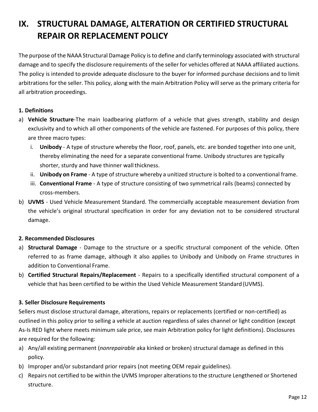## <span id="page-13-0"></span>**IX. STRUCTURAL DAMAGE, ALTERATION OR CERTIFIED STRUCTURAL REPAIR OR REPLACEMENT POLICY**

The purpose of the NAAA Structural Damage Policy is to define and clarify terminology associated with structural damage and to specify the disclosure requirements of the seller for vehicles offered at NAAA affiliated auctions. The policy is intended to provide adequate disclosure to the buyer for informed purchase decisions and to limit arbitrations for the seller. This policy, along with the main Arbitration Policy will serve as the primary criteria for all arbitration proceedings.

## **1. Definitions**

- a) **Vehicle Structure**-The main loadbearing platform of a vehicle that gives strength, stability and design exclusivity and to which all other components of the vehicle are fastened. For purposes of this policy, there are three macro types:
	- i. **Unibody**  A type of structure whereby the floor, roof, panels, etc. are bonded together into one unit, thereby eliminating the need for a separate conventional frame. Unibody structures are typically shorter, sturdy and have thinner wall thickness.
	- ii. Unibody on Frame A type of structure whereby a unitized structure is bolted to a conventional frame.
	- iii. **Conventional Frame**  A type of structure consisting of two symmetrical rails (beams) connected by cross-members.
- b) **UVMS**  Used Vehicle Measurement Standard. The commercially acceptable measurement deviation from the vehicle's original structural specification in order for any deviation not to be considered structural damage.

## **2. Recommended Disclosures**

- a) **Structural Damage**  Damage to the structure or a specific structural component of the vehicle. Often referred to as frame damage, although it also applies to Unibody and Unibody on Frame structures in addition to Conventional Frame.
- b) **Certified Structural Repairs/Replacement**  Repairs to a specifically identified structural component of a vehicle that has been certified to be within the Used Vehicle Measurement Standard (UVMS).

## **3. Seller Disclosure Requirements**

Sellers must disclose structural damage, alterations, repairs or replacements (certified or non-certified) as outlined in this policy prior to selling a vehicle at auction regardless of sales channel or light condition (except As-Is RED light where meets minimum sale price, see main Arbitration policy for light definitions). Disclosures are required for the following:

- a) Any/all existing permanent (*nonrepairable* aka kinked or broken) structural damage as defined in this policy.
- b) Improper and/or substandard prior repairs (not meeting OEM repair guidelines).
- c) Repairs not certified to be within the UVMS Improper alterations to the structure Lengthened or Shortened structure.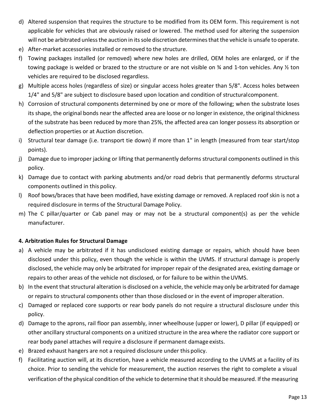- d) Altered suspension that requires the structure to be modified from its OEM form. This requirement is not applicable for vehicles that are obviously raised or lowered. The method used for altering the suspension will not be arbitrated unless the auction in its sole discretion determines that the vehicle is unsafe to operate.
- e) After-market accessories installed or removed to the structure.
- f) Towing packages installed (or removed) where new holes are drilled, OEM holes are enlarged, or if the towing package is welded or brazed to the structure or are not visible on ¾ and 1-ton vehicles. Any ½ ton vehicles are required to be disclosed regardless.
- g) Multiple access holes (regardless of size) or singular access holes greater than 5/8". Access holes between 1/4" and 5/8" are subject to disclosure based upon location and condition of structuralcomponent.
- h) Corrosion of structural components determined by one or more of the following; when the substrate loses its shape, the original bonds near the affected area are loose or no longer in existence, the original thickness of the substrate has been reduced by more than 25%, the affected area can longer possess its absorption or deflection properties or at Auction discretion.
- i) Structural tear damage (i.e. transport tie down) if more than 1" in length (measured from tear start/stop points).
- j) Damage due to improper jacking or lifting that permanently deforms structural components outlined in this policy.
- k) Damage due to contact with parking abutments and/or road debris that permanently deforms structural components outlined in this policy.
- l) Roof bows/braces that have been modified, have existing damage or removed. A replaced roof skin is not a required disclosure in terms of the Structural Damage Policy.
- m) The C pillar/quarter or Cab panel may or may not be a structural component(s) as per the vehicle manufacturer.

## **4. Arbitration Rules for Structural Damage**

- a) A vehicle may be arbitrated if it has undisclosed existing damage or repairs, which should have been disclosed under this policy, even though the vehicle is within the UVMS. If structural damage is properly disclosed, the vehicle may only be arbitrated for improper repair of the designated area, existing damage or repairs to other areas of the vehicle not disclosed, or for failure to be within theUVMS.
- b) In the event that structural alteration is disclosed on a vehicle, the vehicle may only be arbitrated for damage or repairs to structural components other than those disclosed or in the event of improper alteration.
- c) Damaged or replaced core supports or rear body panels do not require a structural disclosure under this policy.
- d) Damage to the aprons, rail floor pan assembly, inner wheelhouse (upper or lower), D pillar (if equipped) or other ancillary structural components on a unitized structure in the area where the radiator core support or rear body panel attaches will require a disclosure if permanent damage exists.
- e) Brazed exhaust hangers are not a required disclosure under this policy.
- f) Facilitating auction will, at its discretion, have a vehicle measured according to the UVMS at a facility of its choice. Prior to sending the vehicle for measurement, the auction reserves the right to complete a visual verification of the physical condition of the vehicle to determine that it should be measured. If the measuring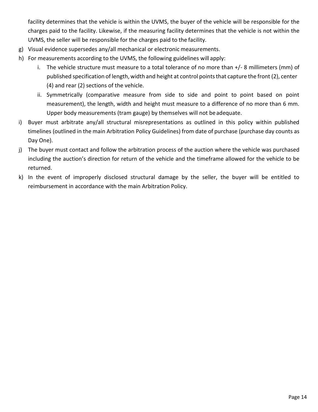facility determines that the vehicle is within the UVMS, the buyer of the vehicle will be responsible for the charges paid to the facility. Likewise, if the measuring facility determines that the vehicle is not within the UVMS, the seller will be responsible for the charges paid to the facility.

- g) Visual evidence supersedes any/all mechanical or electronic measurements.
- h) For measurements according to the UVMS, the following guidelines will apply:
	- i. The vehicle structure must measure to a total tolerance of no more than +/- 8 millimeters (mm) of published specification of length, width and height at control pointsthat capture the front (2), center (4) and rear (2) sections of the vehicle.
	- ii. Symmetrically (comparative measure from side to side and point to point based on point measurement), the length, width and height must measure to a difference of no more than 6 mm. Upper body measurements (tram gauge) by themselves will not beadequate.
- i) Buyer must arbitrate any/all structural misrepresentations as outlined in this policy within published timelines (outlined in the main Arbitration Policy Guidelines) from date of purchase (purchase day counts as Day One).
- j) The buyer must contact and follow the arbitration process of the auction where the vehicle was purchased including the auction's direction for return of the vehicle and the timeframe allowed for the vehicle to be returned.
- k) In the event of improperly disclosed structural damage by the seller, the buyer will be entitled to reimbursement in accordance with the main Arbitration Policy.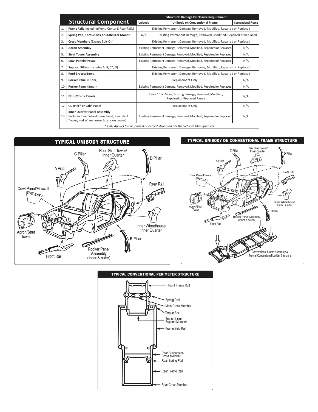|     |                                                                                                                                | <b>Structural Damage Disclosure Requirement</b>                                             |                                                                    |                           |  |  |
|-----|--------------------------------------------------------------------------------------------------------------------------------|---------------------------------------------------------------------------------------------|--------------------------------------------------------------------|---------------------------|--|--|
|     | <b>Structural Component</b>                                                                                                    | Unibody                                                                                     | Unibody on Conventional Frame                                      | <b>Conventional Frame</b> |  |  |
| 1.  | Frame Rails (including Front, Center & Rear Rails)                                                                             |                                                                                             | Existing Permanent Damage, Removed, Modified, Repaired or Replaced |                           |  |  |
| 2.  | Spring Pod, Torque Box or Stablilizer Mount                                                                                    | N/A                                                                                         | Existing Permanent Damage, Removed, Modified, Repaired or Replaced |                           |  |  |
| 3.  | Cross Members (Except Bolt-On)                                                                                                 |                                                                                             | Existing Permanent Damage, Removed, Modified, Repaired or Replaced |                           |  |  |
| 4.  | <b>Apron Assembly</b>                                                                                                          | Existing Permanent Damage, Removed, Modified, Repaired or Replaced<br>N/A                   |                                                                    |                           |  |  |
| 5.  | <b>Strut Tower Assembly</b>                                                                                                    | Existing Permanent Damage, Removed, Modified, Repaired or Replaced<br>N/A                   |                                                                    |                           |  |  |
| 6.  | <b>Cowl Panel/Firewall</b>                                                                                                     | Existing Permanent Damage, Removed, Modified, Repaired or Replaced<br>N/A                   |                                                                    |                           |  |  |
| 7.  | Support Pillars (Includes A, B, C*, D)                                                                                         | Existing Permanent Damage, Removed, Modified, Repaired or Replaced                          |                                                                    |                           |  |  |
| 8.  | <b>Roof Braces/Bows</b>                                                                                                        | Existing Permanent Damage, Removed, Modified, Repaired or Replaced                          |                                                                    |                           |  |  |
| 9.  | Rocker Panel (Outer)                                                                                                           | N/A<br><b>Replacement Only</b>                                                              |                                                                    |                           |  |  |
| 10. | Rocker Panel (Inner)                                                                                                           | Existing Permanent Damage, Removed, Modified, Repaired or Replaced<br>N/A                   |                                                                    |                           |  |  |
| 11  | <b>Floor/Trunk Panels</b>                                                                                                      | Tears 1" or More, Existing Damage, Removed, Modified,<br>N/A<br>Repaired or Replaced Panels |                                                                    |                           |  |  |
| 12. | <b>Quarter* or Cab* Panel</b>                                                                                                  | N/A<br><b>Replacement Only</b>                                                              |                                                                    |                           |  |  |
| 13. | <b>Inner Quarter Panel Assembly</b><br>(Includes Inner Wheelhouse Panel, Rear Strut)<br>Tower, and Wheelhouse Extension Lower) |                                                                                             | Existing Permanent Damage, Removed, Modified, Repaired or Replaced | N/A                       |  |  |
|     | * Only Applies to Components Deemed Structural Per the Vehicles Manufacturer                                                   |                                                                                             |                                                                    |                           |  |  |



#### TYPICAL UNIBODY ON CONVENTIONAL FRAME STRUCTURE





#### **TYPICAL CONVENTIONAL PERIMETER STRUCTURE**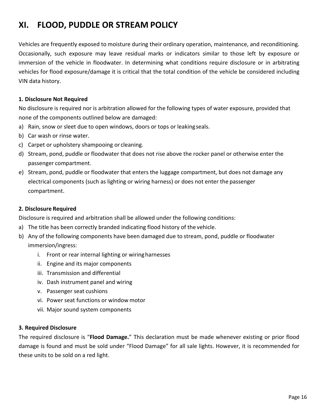## <span id="page-17-0"></span>**XI. FLOOD, PUDDLE OR STREAM POLICY**

Vehicles are frequently exposed to moisture during their ordinary operation, maintenance, and reconditioning. Occasionally, such exposure may leave residual marks or indicators similar to those left by exposure or immersion of the vehicle in floodwater. In determining what conditions require disclosure or in arbitrating vehicles for flood exposure/damage it is critical that the total condition of the vehicle be considered including VIN data history.

## **1. Disclosure Not Required**

No disclosure is required nor is arbitration allowed for the following types of water exposure, provided that none of the components outlined below are damaged:

- a) Rain, snow or sleet due to open windows, doors or tops or leakingseals.
- b) Car wash or rinse water.
- c) Carpet or upholstery shampooing or cleaning.
- d) Stream, pond, puddle or floodwater that does not rise above the rocker panel or otherwise enter the passenger compartment.
- e) Stream, pond, puddle or floodwater that enters the luggage compartment, but does not damage any electrical components (such as lighting or wiring harness) or does not enter the passenger compartment.

#### **2. Disclosure Required**

Disclosure is required and arbitration shall be allowed under the following conditions:

- a) The title has been correctly branded indicating flood history of the vehicle.
- b) Any of the following components have been damaged due to stream, pond, puddle or floodwater immersion/ingress:
	- i. Front or rear internal lighting or wiringharnesses
	- ii. Engine and its major components
	- iii. Transmission and differential
	- iv. Dash instrument panel and wiring
	- v. Passenger seat cushions
	- vi. Power seat functions or window motor
	- vii. Major sound system components

#### **3. Required Disclosure**

The required disclosure is "**Flood Damage.**" This declaration must be made whenever existing or prior flood damage is found and must be sold under "Flood Damage" for all sale lights. However, it is recommended for these units to be sold on a red light.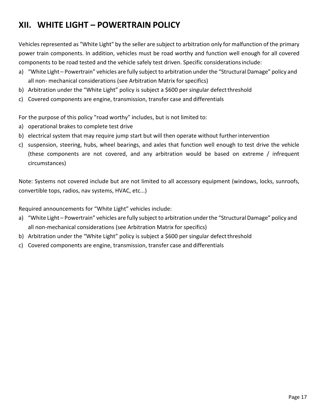## <span id="page-18-0"></span>**XII. WHITE LIGHT – POWERTRAIN POLICY**

Vehicles represented as "White Light" by the seller are subject to arbitration only for malfunction of the primary power train components. In addition, vehicles must be road worthy and function well enough for all covered components to be road tested and the vehicle safely test driven. Specific considerationsinclude:

- a) "White Light Powertrain" vehicles are fully subject to arbitration underthe "Structural Damage" policy and all non- mechanical considerations (see Arbitration Matrix forspecifics)
- b) Arbitration under the "White Light" policy is subject a \$600 per singular defect threshold
- c) Covered components are engine, transmission, transfer case and differentials

For the purpose of this policy "road worthy" includes, but is not limited to:

- a) operational brakes to complete test drive
- b) electrical system that may require jump start but will then operate without furtherintervention
- c) suspension, steering, hubs, wheel bearings, and axles that function well enough to test drive the vehicle (these components are not covered, and any arbitration would be based on extreme / infrequent circumstances)

Note: Systems not covered include but are not limited to all accessory equipment (windows, locks, sunroofs, convertible tops, radios, nav systems, HVAC, etc...)

Required announcements for "White Light" vehicles include:

- a) "White Light Powertrain" vehicles are fully subject to arbitration underthe "Structural Damage" policy and all non-mechanical considerations (see Arbitration Matrix for specifics)
- b) Arbitration under the "White Light" policy is subject a \$600 per singular defect threshold
- c) Covered components are engine, transmission, transfer case and differentials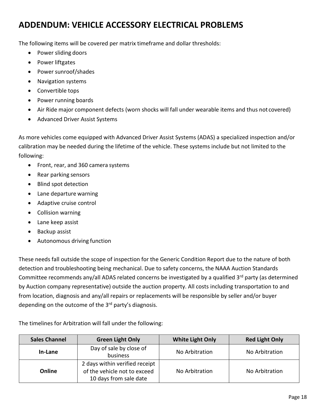## <span id="page-19-0"></span>**ADDENDUM: VEHICLE ACCESSORY ELECTRICAL PROBLEMS**

The following items will be covered per matrix timeframe and dollar thresholds:

- Power sliding doors
- Power liftgates
- Power sunroof/shades
- Navigation systems
- Convertible tops
- Power running boards
- Air Ride major component defects (worn shocks will fall under wearable items and thus not covered)
- Advanced Driver Assist Systems

As more vehicles come equipped with Advanced Driver Assist Systems (ADAS) a specialized inspection and/or calibration may be needed during the lifetime of the vehicle. These systems include but not limited to the following:

- Front, rear, and 360 camera systems
- Rear parking sensors
- Blind spot detection
- Lane departure warning
- Adaptive cruise control
- Collision warning
- Lane keep assist
- Backup assist
- Autonomous driving function

These needs fall outside the scope of inspection for the Generic Condition Report due to the nature of both detection and troubleshooting being mechanical. Due to safety concerns, the NAAA Auction Standards Committee recommends any/all ADAS related concerns be investigated by a qualified 3<sup>rd</sup> party (as determined by Auction company representative) outside the auction property. All costs including transportation to and from location, diagnosis and any/all repairs or replacements will be responsible by seller and/or buyer depending on the outcome of the  $3<sup>rd</sup>$  party's diagnosis.

The timelines for Arbitration will fall under the following:

| <b>Sales Channel</b> | <b>Green Light Only</b>                                                                  | <b>White Light Only</b> | <b>Red Light Only</b> |  |
|----------------------|------------------------------------------------------------------------------------------|-------------------------|-----------------------|--|
| In-Lane              | Day of sale by close of<br>business                                                      | No Arbitration          | No Arbitration        |  |
| Online               | 2 days within verified receipt<br>of the vehicle not to exceed<br>10 days from sale date | No Arbitration          | No Arbitration        |  |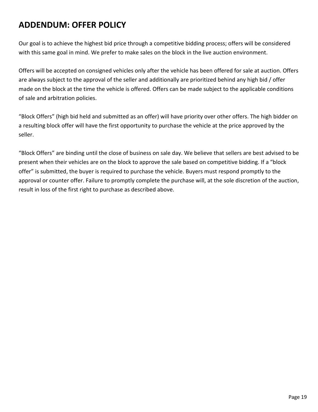## <span id="page-20-0"></span>**ADDENDUM: OFFER POLICY**

Our goal is to achieve the highest bid price through a competitive bidding process; offers will be considered with this same goal in mind. We prefer to make sales on the block in the live auction environment.

Offers will be accepted on consigned vehicles only after the vehicle has been offered for sale at auction. Offers are always subject to the approval of the seller and additionally are prioritized behind any high bid / offer made on the block at the time the vehicle is offered. Offers can be made subject to the applicable conditions of sale and arbitration policies.

"Block Offers" (high bid held and submitted as an offer) will have priority over other offers. The high bidder on a resulting block offer will have the first opportunity to purchase the vehicle at the price approved by the seller.

"Block Offers" are binding until the close of business on sale day. We believe that sellers are best advised to be present when their vehicles are on the block to approve the sale based on competitive bidding. If a "block offer" is submitted, the buyer is required to purchase the vehicle. Buyers must respond promptly to the approval or counter offer. Failure to promptly complete the purchase will, at the sole discretion of the auction, result in loss of the first right to purchase as described above.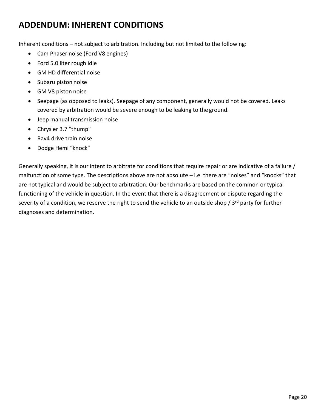## <span id="page-21-0"></span>**ADDENDUM: INHERENT CONDITIONS**

Inherent conditions – not subject to arbitration. Including but not limited to the following:

- Cam Phaser noise (Ford V8 engines)
- Ford 5.0 liter rough idle
- GM HD differential noise
- Subaru piston noise
- GM V8 piston noise
- Seepage (as opposed to leaks). Seepage of any component, generally would not be covered. Leaks covered by arbitration would be severe enough to be leaking to the ground.
- Jeep manual transmission noise
- Chrysler 3.7 "thump"
- Rav4 drive train noise
- Dodge Hemi "knock"

Generally speaking, it is our intent to arbitrate for conditions that require repair or are indicative of a failure / malfunction of some type. The descriptions above are not absolute – i.e. there are "noises" and "knocks" that are not typical and would be subject to arbitration. Our benchmarks are based on the common or typical functioning of the vehicle in question. In the event that there is a disagreement or dispute regarding the severity of a condition, we reserve the right to send the vehicle to an outside shop / 3<sup>rd</sup> party for further diagnoses and determination.